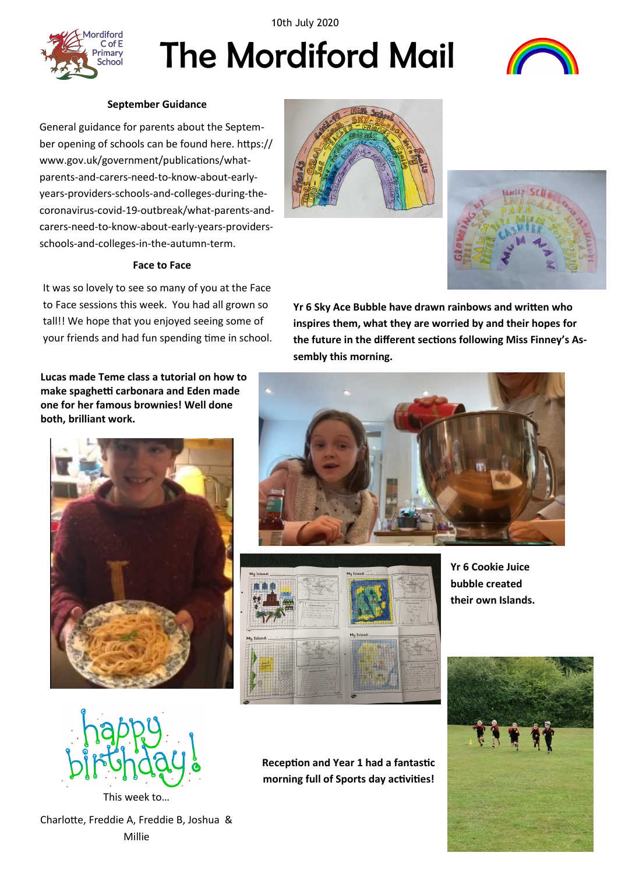10th July 2020



# The Mordiford Mail



# **September Guidance**

General guidance for parents about the September opening of schools can be found here. https:// www.gov.uk/government/publications/whatparents-and-carers-need-to-know-about-earlyyears-providers-schools-and-colleges-during-thecoronavirus-covid-19-outbreak/what-parents-andcarers-need-to-know-about-early-years-providersschools-and-colleges-in-the-autumn-term.

# **Face to Face**

It was so lovely to see so many of you at the Face to Face sessions this week. You had all grown so tall!! We hope that you enjoyed seeing some of your friends and had fun spending time in school.

**Lucas made Teme class a tutorial on how to make spaghetti carbonara and Eden made one for her famous brownies! Well done both, brilliant work.**







**Yr 6 Sky Ace Bubble have drawn rainbows and written who inspires them, what they are worried by and their hopes for the future in the different sections following Miss Finney's Assembly this morning.** 





**Yr 6 Cookie Juice bubble created their own Islands.**



This week to…

Charlotte, Freddie A, Freddie B, Joshua & Millie

**Reception and Year 1 had a fantastic morning full of Sports day activities!**